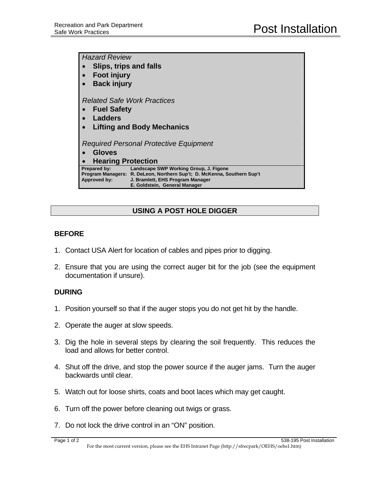| <b>Hazard Review</b>                                                                                                                                                                                                          |
|-------------------------------------------------------------------------------------------------------------------------------------------------------------------------------------------------------------------------------|
| Slips, trips and falls                                                                                                                                                                                                        |
| <b>Foot injury</b>                                                                                                                                                                                                            |
| <b>Back injury</b>                                                                                                                                                                                                            |
|                                                                                                                                                                                                                               |
| <b>Related Safe Work Practices</b>                                                                                                                                                                                            |
| <b>Fuel Safety</b>                                                                                                                                                                                                            |
| Ladders                                                                                                                                                                                                                       |
| <b>Lifting and Body Mechanics</b>                                                                                                                                                                                             |
|                                                                                                                                                                                                                               |
| Required Personal Protective Equipment                                                                                                                                                                                        |
| Gloves                                                                                                                                                                                                                        |
| <b>Hearing Protection</b>                                                                                                                                                                                                     |
| Landscape SWP Working Group, J. Figone<br><b>Prepared by:</b><br>Program Managers: R. DeLeon, Northern Sup't; D. McKenna, Southern Sup't<br>Approved by:<br>J. Bramlett, EHS Program Manager<br>E. Goldstein, General Manager |

# **USING A POST HOLE DIGGER**

### **BEFORE**

- 1. Contact USA Alert for location of cables and pipes prior to digging.
- 2. Ensure that you are using the correct auger bit for the job (see the equipment documentation if unsure).

#### **DURING**

- 1. Position yourself so that if the auger stops you do not get hit by the handle.
- 2. Operate the auger at slow speeds.
- 3. Dig the hole in several steps by clearing the soil frequently. This reduces the load and allows for better control.
- 4. Shut off the drive, and stop the power source if the auger jams. Turn the auger backwards until clear.
- 5. Watch out for loose shirts, coats and boot laces which may get caught.
- 6. Turn off the power before cleaning out twigs or grass.
- 7. Do not lock the drive control in an "ON" position.